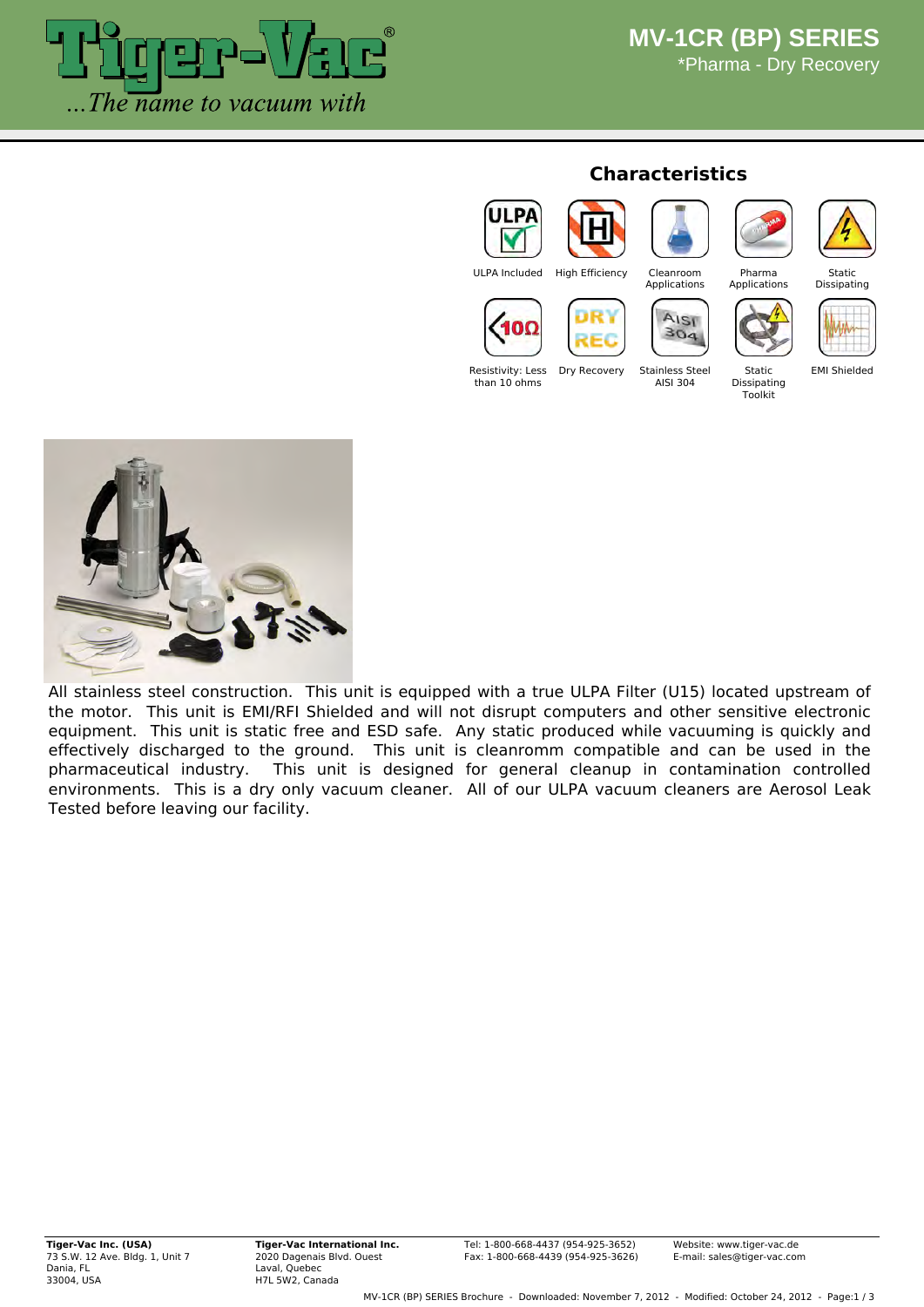

#### **Characteristics**

Resistivity: Less than 10 ohms





**Applications** 

AISI



Pharma Applications

Static Dissinating



 $304$ Dry Recovery Stainless Steel AISI 304

Static Dissipating Toolkit

EMI Shielded



All stainless steel construction. This unit is equipped with a true ULPA Filter (U15) located upstream of the motor. This unit is EMI/RFI Shielded and will not disrupt computers and other sensitive electronic equipment. This unit is static free and ESD safe. Any static produced while vacuuming is quickly and effectively discharged to the ground. This unit is cleanromm compatible and can be used in the pharmaceutical industry. This unit is designed for general cleanup in contamination controlled environments. This is a dry only vacuum cleaner. All of our ULPA vacuum cleaners are Aerosol Leak Tested before leaving our facility.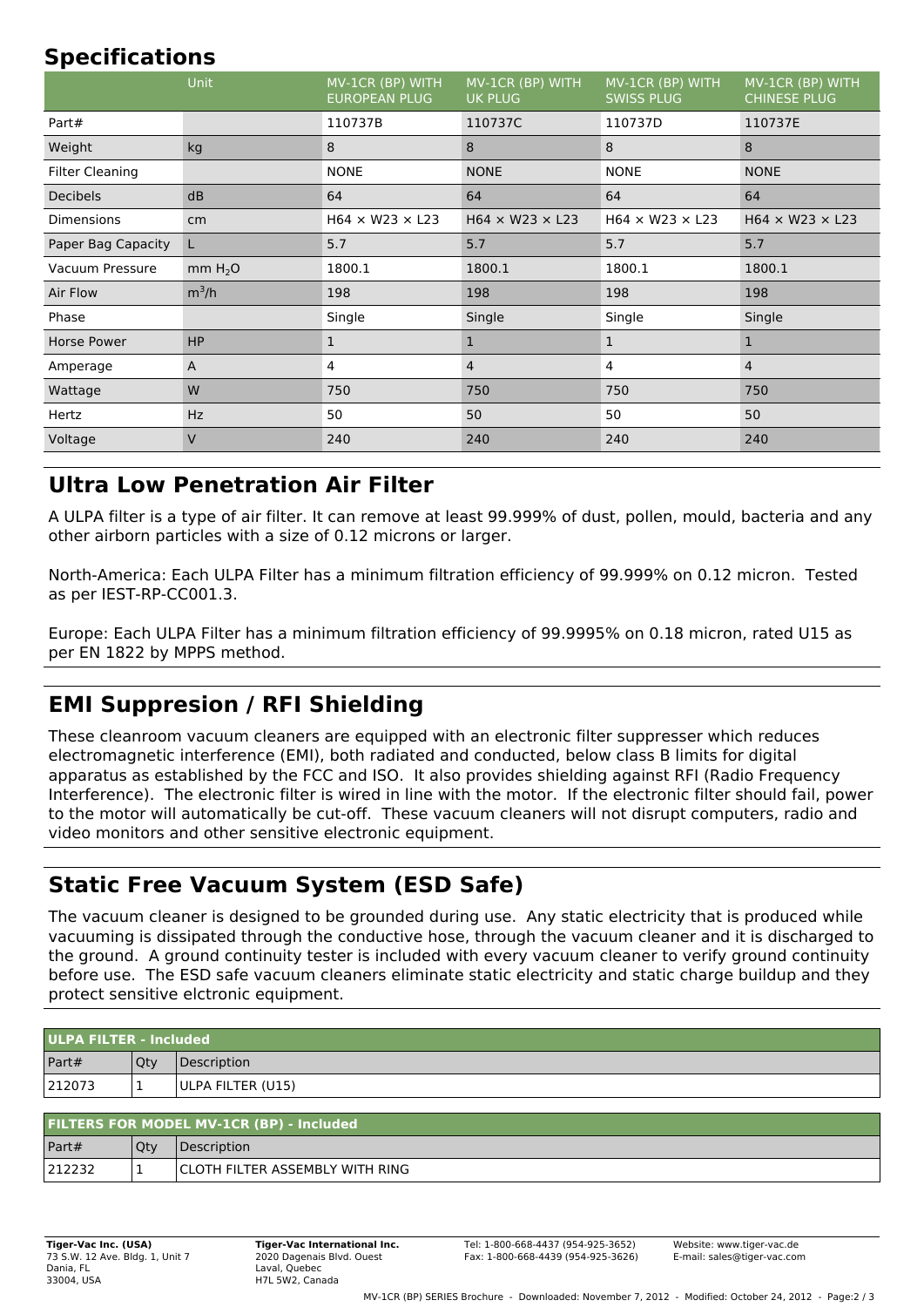# **Specifications**

|                        | Unit                | MV-1CR (BP) WITH<br><b>EUROPEAN PLUG</b> | MV-1CR (BP) WITH<br><b>UK PLUG</b> | MV-1CR (BP) WITH<br><b>SWISS PLUG</b> | MV-1CR (BP) WITH<br><b>CHINESE PLUG</b> |
|------------------------|---------------------|------------------------------------------|------------------------------------|---------------------------------------|-----------------------------------------|
| Part#                  |                     | 110737B                                  | 110737C                            | 110737D                               | 110737E                                 |
| Weight                 | kg                  | 8                                        | 8                                  | 8                                     | 8                                       |
| <b>Filter Cleaning</b> |                     | <b>NONE</b>                              | <b>NONE</b>                        | <b>NONE</b>                           | <b>NONE</b>                             |
| Decibels               | dB                  | 64                                       | 64                                 | 64                                    | 64                                      |
| <b>Dimensions</b>      | cm                  | $H64 \times W23 \times L23$              | $H64 \times W23 \times L23$        | $H64 \times W23 \times L23$           | $H64 \times W23 \times L23$             |
| Paper Bag Capacity     | L                   | 5.7                                      | 5.7                                | 5.7                                   | 5.7                                     |
| Vacuum Pressure        | mm H <sub>2</sub> O | 1800.1                                   | 1800.1                             | 1800.1                                | 1800.1                                  |
| Air Flow               | $m^3/h$             | 198                                      | 198                                | 198                                   | 198                                     |
| Phase                  |                     | Single                                   | Single                             | Single                                | Single                                  |
| Horse Power            | <b>HP</b>           | $\mathbf{1}$                             | 1                                  | 1                                     | $\mathbf{1}$                            |
| Amperage               | A                   | 4                                        | $\overline{4}$                     | 4                                     | $\overline{4}$                          |
| Wattage                | W                   | 750                                      | 750                                | 750                                   | 750                                     |
| Hertz                  | <b>Hz</b>           | 50                                       | 50                                 | 50                                    | 50                                      |
| Voltage                | V                   | 240                                      | 240                                | 240                                   | 240                                     |

## **Ultra Low Penetration Air Filter**

A ULPA filter is a type of air filter. It can remove at least 99.999% of dust, pollen, mould, bacteria and any other airborn particles with a size of 0.12 microns or larger.

North-America: Each ULPA Filter has a minimum filtration efficiency of 99.999% on 0.12 micron. Tested as per IEST-RP-CC001.3.

Europe: Each ULPA Filter has a minimum filtration efficiency of 99.9995% on 0.18 micron, rated U15 as per EN 1822 by MPPS method.

## **EMI Suppresion / RFI Shielding**

These cleanroom vacuum cleaners are equipped with an electronic filter suppresser which reduces electromagnetic interference (EMI), both radiated and conducted, below class B limits for digital apparatus as established by the FCC and ISO. It also provides shielding against RFI (Radio Frequency Interference). The electronic filter is wired in line with the motor. If the electronic filter should fail, power to the motor will automatically be cut-off. These vacuum cleaners will not disrupt computers, radio and video monitors and other sensitive electronic equipment.

## **Static Free Vacuum System (ESD Safe)**

The vacuum cleaner is designed to be grounded during use. Any static electricity that is produced while vacuuming is dissipated through the conductive hose, through the vacuum cleaner and it is discharged to the ground. A ground continuity tester is included with every vacuum cleaner to verify ground continuity before use. The ESD safe vacuum cleaners eliminate static electricity and static charge buildup and they protect sensitive elctronic equipment.

| ULPA FILTER - Included |     |                   |  |
|------------------------|-----|-------------------|--|
| Part#                  | Qty | Description       |  |
| 212073                 | ÷   | ULPA FILTER (U15) |  |

| <b>FILTERS FOR MODEL MV-1CR (BP) - Included</b> |     |                                        |  |
|-------------------------------------------------|-----|----------------------------------------|--|
| Part#                                           | Qty | <i><b>Description</b></i>              |  |
| 212232                                          |     | <b>CLOTH FILTER ASSEMBLY WITH RING</b> |  |

**Tiger-Vac International Inc.** 2020 Dagenais Blvd. Ouest Laval, Quebec H7L 5W2, Canada

Website: www.tiger-vac.de E-mail: sales@tiger-vac.com